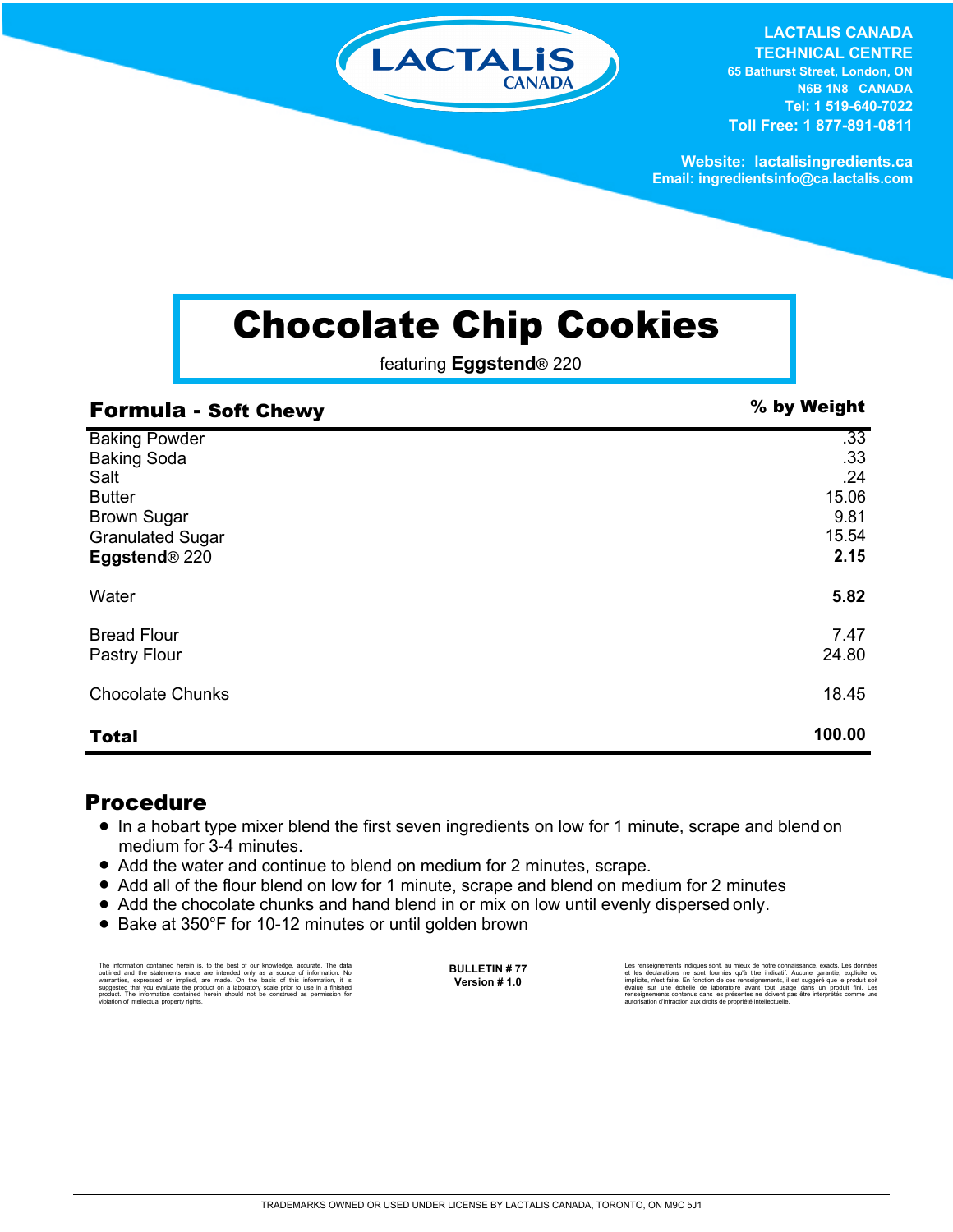

**LACTALIS CANADA TECHNICAL CENTRE 65 Bathurst Street, London, ON N6B 1N8 CANADA Tel: 1 519-640-7022 Toll Free: 1 877-891-0811**

**Website: lactalisingredients.ca Email: ingredientsinfo@ca.lactalis.com**

## Chocolate Chip Cookies

featuring **Eggstend**® 220

| <b>Formula - Soft Chewy</b> | % by Weight |
|-----------------------------|-------------|
| <b>Baking Powder</b>        | .33         |
| <b>Baking Soda</b>          | .33         |
| Salt                        | .24         |
| <b>Butter</b>               | 15.06       |
| <b>Brown Sugar</b>          | 9.81        |
| <b>Granulated Sugar</b>     | 15.54       |
| Eggstend® 220               | 2.15        |
| Water                       | 5.82        |
| <b>Bread Flour</b>          | 7.47        |
| Pastry Flour                | 24.80       |
| <b>Chocolate Chunks</b>     | 18.45       |
| <b>Total</b>                | 100.00      |

## Procedure

- In a hobart type mixer blend the first seven ingredients on low for 1 minute, scrape and blend on medium for 3-4 minutes.
- Add the water and continue to blend on medium for 2 minutes, scrape.
- Add all of the flour blend on low for 1 minute, scrape and blend on medium for 2 minutes
- Add the chocolate chunks and hand blend in or mix on low until evenly dispersed only.
- Bake at 350°F for 10-12 minutes or until golden brown

The information contained herein is, to the best of our knowledge, accurate. The data<br>cutlined and the statements made are intended only as a source of information. No<br>warranties, expressed or implied, are made. On the bas

**BULLETIN # 77 Version # 1.0**

Les renseignements indiqués sont, au mieux de notre connaissance, exacts. Les données<br>et les déclarations ne sont fournies qu'à titre indicatif. Aucune garantie, explicite ou<br>implicite, n'est faite. En fonction de ces rens renseignements contenus dans les présentes ne doivent pas être interprétés comme une autorisation d'infraction aux droits de propriété intellectuelle.